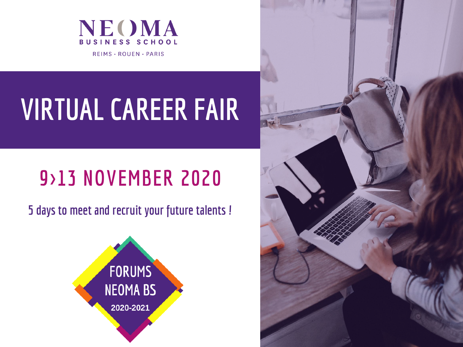

**REIMS · ROUEN · PARIS** 

# **VIRTUAL CAREER FAIR**

# **9>13 NOVEMBER 2020**

**5 days to meet and recruit your future talents !**



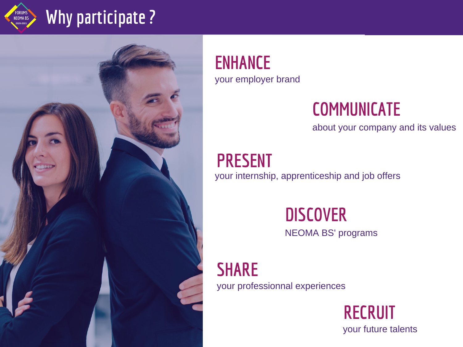

### **Why participate ?**



**ENHANCE** your employer brand

### **COMMUNICATE**

about your company and its values

**PRESENT** your internship, apprenticeship and job offers

### **DISCOVER**

NEOMA BS' programs

**SHARE** your professionnal experiences

> **RECRUIT** your future talents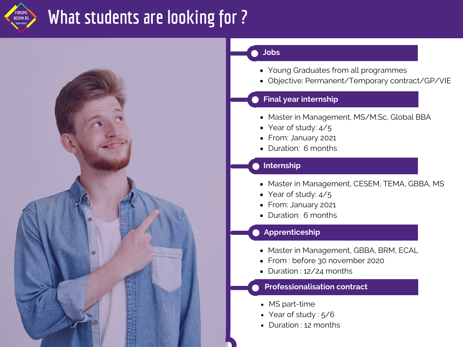

### **What students are looking for ?**



#### **Jobs**  $\blacksquare$

- Young Graduates from all programmes
- Objective: Permanent/Temporary contract/GP/VIE

#### **Final year internship**

- Master in Management, MS/M.Sc, Global BBA
- Year of study:  $4/5$
- From: January 2021
- Duration: 6 months

#### **O** Internship

- Master in Management, CESEM, TEMA, GBBA, MS
- Year of study: 4/5
- From: January 2021
- Duration: 6 months

#### **Apprenticeship**

- Master in Management, GBBA, BRM, ECAL
- From : before 30 november 2020
- Duration : 12/24 months

#### **Professionalisation contract**

- MS part-time
- Year of study : 5/6
- Duration : 12 months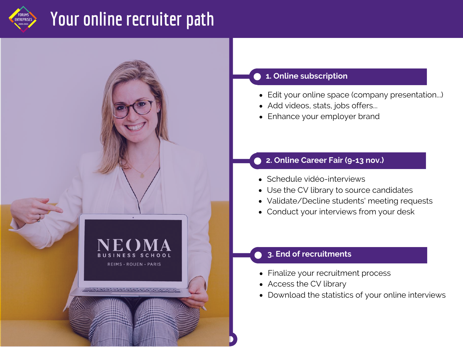## **Your online recruiter path**



#### **1. Online subscription**

- Edit your online space (company presentation...)
- Add videos, stats, jobs offers...
- Enhance your employer brand

#### **2. Online Career Fair (9-13 nov.)**

- Schedule vidéo-interviews
- Use the CV library to source candidates
- Validate/Decline students' meeting requests
- Conduct your interviews from your desk

#### **3. End of recruitments**

- Finalize your recruitment process
- Access the CV library
- une expérience can Download the statistics of your online interviews